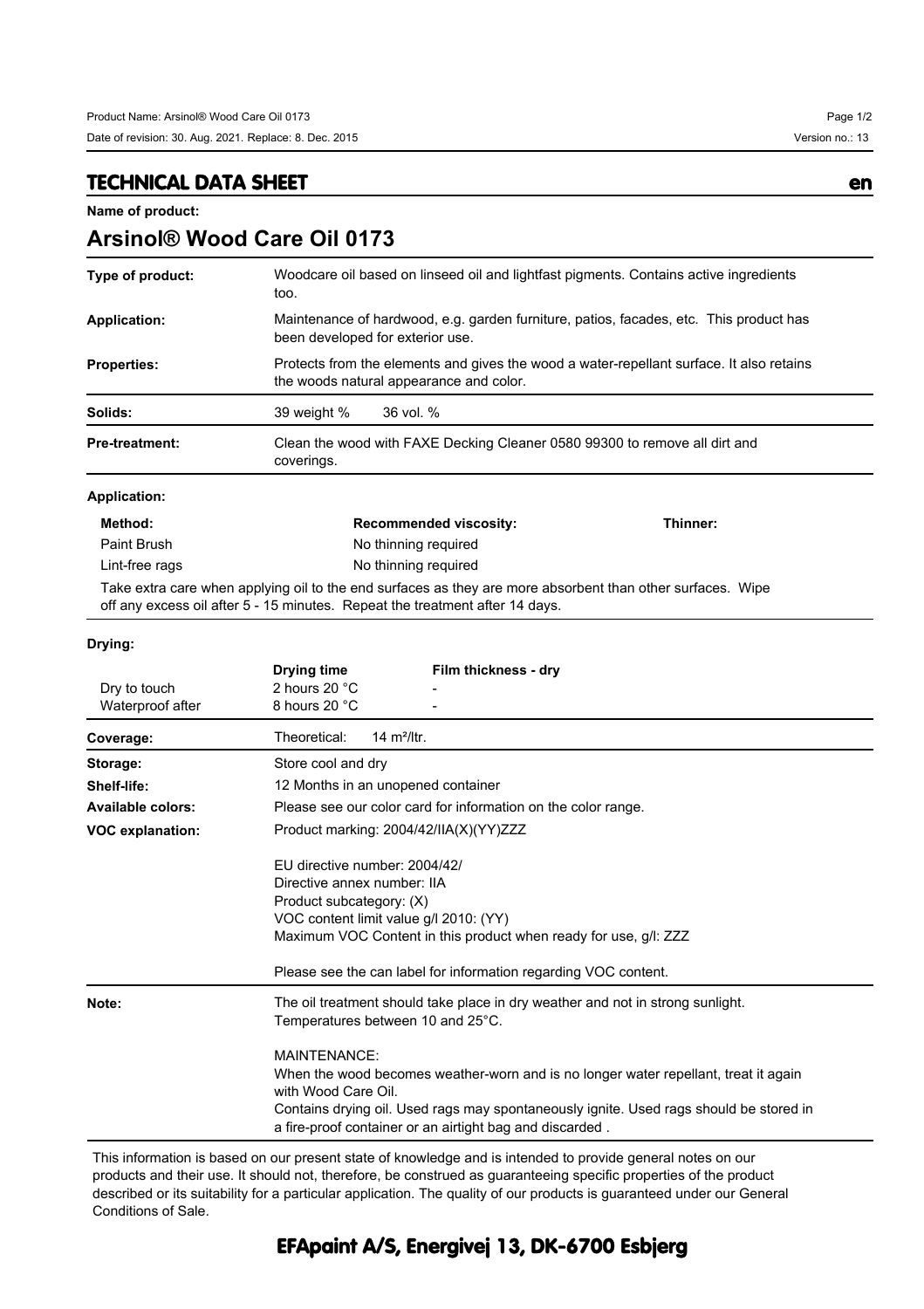**Arsinol® Wood Care Oil 0173**

## **TECHNICAL DATA SHEET en**

**Name of product:**

| Type of product:         | Woodcare oil based on linseed oil and lightfast pigments. Contains active ingredients<br>too.                                                                                                          |          |
|--------------------------|--------------------------------------------------------------------------------------------------------------------------------------------------------------------------------------------------------|----------|
| <b>Application:</b>      | Maintenance of hardwood, e.g. garden furniture, patios, facades, etc. This product has<br>been developed for exterior use.                                                                             |          |
| <b>Properties:</b>       | Protects from the elements and gives the wood a water-repellant surface. It also retains<br>the woods natural appearance and color.                                                                    |          |
| Solids:                  | 39 weight %<br>36 vol. %                                                                                                                                                                               |          |
| <b>Pre-treatment:</b>    | Clean the wood with FAXE Decking Cleaner 0580 99300 to remove all dirt and<br>coverings.                                                                                                               |          |
| <b>Application:</b>      |                                                                                                                                                                                                        |          |
| Method:                  | <b>Recommended viscosity:</b>                                                                                                                                                                          | Thinner: |
| Paint Brush              | No thinning required                                                                                                                                                                                   |          |
| Lint-free rags           | No thinning required                                                                                                                                                                                   |          |
|                          | Take extra care when applying oil to the end surfaces as they are more absorbent than other surfaces. Wipe<br>off any excess oil after 5 - 15 minutes. Repeat the treatment after 14 days.             |          |
| Drying:                  |                                                                                                                                                                                                        |          |
|                          | Drying time<br>Film thickness - dry                                                                                                                                                                    |          |
| Dry to touch             | 2 hours 20 °C                                                                                                                                                                                          |          |
| Waterproof after         | 8 hours 20 °C                                                                                                                                                                                          |          |
| Coverage:                | Theoretical:<br>14 $m^2$ /ltr.                                                                                                                                                                         |          |
| Storage:                 | Store cool and dry                                                                                                                                                                                     |          |
| Shelf-life:              | 12 Months in an unopened container                                                                                                                                                                     |          |
| <b>Available colors:</b> | Please see our color card for information on the color range.                                                                                                                                          |          |
| <b>VOC explanation:</b>  | Product marking: 2004/42/IIA(X)(YY)ZZZ                                                                                                                                                                 |          |
|                          | EU directive number: 2004/42/<br>Directive annex number: IIA<br>Product subcategory: (X)<br>VOC content limit value g/l 2010: (YY)<br>Maximum VOC Content in this product when ready for use, g/l: ZZZ |          |

This information is based on our present state of knowledge and is intended to provide general notes on our products and their use. It should not, therefore, be construed as guaranteeing specific properties of the product described or its suitability for a particular application. The quality of our products is guaranteed under our General Conditions of Sale.

a fire-proof container or an airtight bag and discarded .

**Note:** The oil treatment should take place in dry weather and not in strong sunlight.

Temperatures between 10 and 25°C.

MAINTENANCE:

with Wood Care Oil.

## **EFApaint A/S, Energivej 13, DK-6700 Esbjerg**

Please see the can label for information regarding VOC content.

When the wood becomes weather-worn and is no longer water repellant, treat it again

Contains drying oil. Used rags may spontaneously ignite. Used rags should be stored in